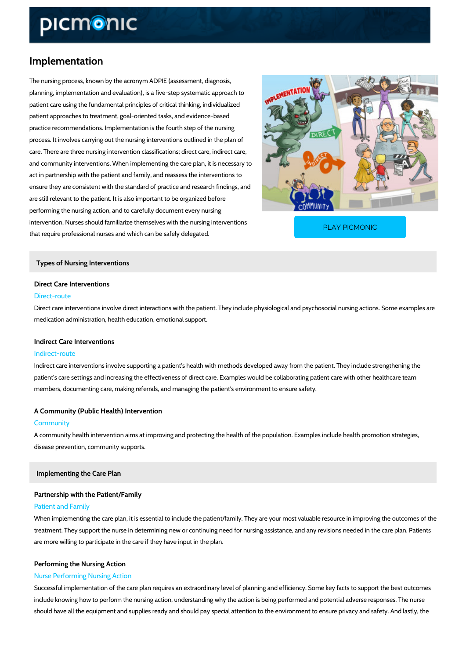# Implementation

The nursing process, known by the acronym ADPIE (assessment, diagnosis, planning, implementation and evaluation), is a five-step systematic approach to patient care using the fundamental principles of critical thinking, individualized patient approaches to treatment, goal-oriented tasks, and evidence-based practice recommendations. Implementation is the fourth step of the nursing process. It involves carrying out the nursing interventions outlined in the plan of care. There are three nursing intervention classifications; direct care, indirect care, and community interventions. When implementing the care plan, it is necessary to act in partnership with the patient and family, and reassess the interventions to ensure they are consistent with the standard of practice and research findings, and are still relevant to the patient. It is also important to be organized before performing the nursing action, and to carefully document every nursing intervention. Nurses should familiarize themselves with the that require professional nurses and which can be safely PLAY PICMONIC

Types of Nursing Interventions

# Direct Care Interventions Direct-route

Direct care interventions involve direct interactions with the patient. They include physiologic medication administration, health education, emotional support.

### Indirect Care Interventions

### Indirect-route

Indirect care interventions involve supporting a patient's health with methods developed away patient's care settings and increasing the effectiveness of direct care. Examples would be col members, documenting care, making referrals, and managing the patient's environment to ensure

## A Community (Public Health) Intervention

#### Community

A community health intervention aims at improving and protecting the health of the population disease prevention, community supports.

Implementing the Care Plan

## Partnership with the Patient/Family

### Patient and Family

When implementing the care plan, it is essential to include the patient/family. They are your resource in improving the outcomes of the outcomes of the outcomes of the outcomes of the outcomes of the outcomes of the outcom treatment. They support the nurse in determining new or continuing need for nursing assistane are more willing to participate in the care if they have input in the plan.

# Performing the Nursing Action Nurse Performing Nursing Action

Successful implementation of the care plan requires an extraordinary level of planning and ef include knowing how to perform the nursing action, understanding why the action is being per should have all the equipment and supplies ready and should pay special attention to the envi